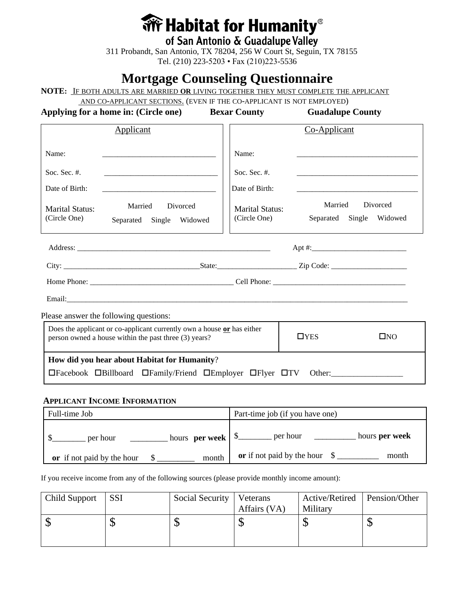# **We Habitat for Humanity**<sup>®</sup>

**of San Antonio & Guadalupe Valley** 311 Probandt, San Antonio, TX 78204, 256 W Court St, Seguin, TX 78155 Tel. (210) 223-5203 • Fax (210)223-5536

## **Mortgage Counseling Questionnaire**

**NOTE:** IF BOTH ADULTS ARE MARRIED **OR** LIVING TOGETHER THEY MUST COMPLETE THE APPLICANT

AND CO-APPLICANT SECTIONS. (EVEN IF THE CO-APPLICANT IS NOT EMPLOYED)

Applying for a home in: (Circle one) Bexar County Guadalupe County

|                                                                                                                                   | <b>Applicant</b>                                   |                                                                                   | Co-Applicant                                       |  |
|-----------------------------------------------------------------------------------------------------------------------------------|----------------------------------------------------|-----------------------------------------------------------------------------------|----------------------------------------------------|--|
| Name:<br>Soc. Sec. $#$ .<br>Date of Birth:<br>Marital Status:<br>(Circle One)                                                     | Married<br>Divorced<br>Single Widowed<br>Separated | Name:<br>Soc. Sec. #.<br>Date of Birth:<br><b>Marital Status:</b><br>(Circle One) | Married<br>Divorced<br>Separated Single<br>Widowed |  |
|                                                                                                                                   |                                                    |                                                                                   |                                                    |  |
|                                                                                                                                   |                                                    |                                                                                   |                                                    |  |
|                                                                                                                                   |                                                    |                                                                                   |                                                    |  |
|                                                                                                                                   |                                                    |                                                                                   |                                                    |  |
| Please answer the following questions:                                                                                            |                                                    |                                                                                   |                                                    |  |
| Does the applicant or co-applicant currently own a house $or$ has either<br>person owned a house within the past three (3) years? |                                                    |                                                                                   | $\Box$ YES<br>$\square$ NO                         |  |
| How did you hear about Habitat for Humanity?                                                                                      |                                                    |                                                                                   |                                                    |  |
| □Facebook □ Billboard □ Family/Friend □ Employer □ Flyer □ TV<br>Other:                                                           |                                                    |                                                                                   |                                                    |  |

### **APPLICANT INCOME INFORMATION**

| Full-time Job              | Part-time job (if you have one) |
|----------------------------|---------------------------------|
| hours per week             | hours per week                  |
| per hour                   | per hour                        |
| month                      | or if not paid by the hour $\$$ |
| or if not paid by the hour | month                           |

If you receive income from any of the following sources (please provide monthly income amount):

| Child Support | <b>SSI</b> | Social Security | Veterans     | Active/Retired   Pension/Other |     |
|---------------|------------|-----------------|--------------|--------------------------------|-----|
|               |            |                 | Affairs (VA) | Military                       |     |
|               |            |                 |              |                                | ۲IJ |
|               |            |                 |              |                                |     |